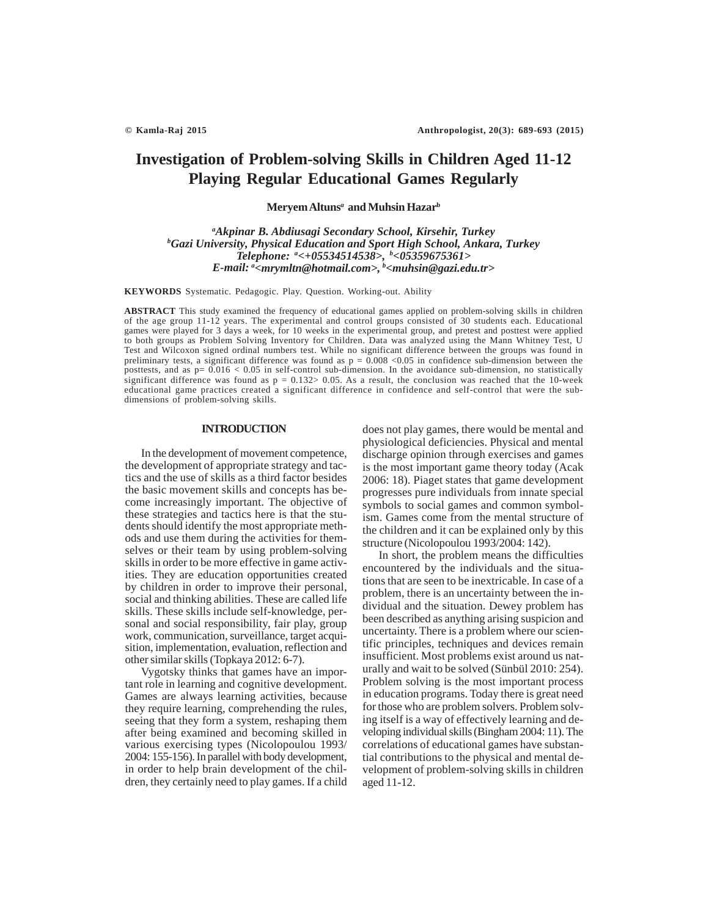# **Investigation of Problem-solving Skills in Children Aged 11-12 Playing Regular Educational Games Regularly**

**Meryem Altuns***<sup>a</sup>*  **and Muhsin Hazarb**

*a Akpinar B. Abdiusagi Secondary School, Kirsehir, Turkey b Gazi University, Physical Education and Sport High School, Ankara, Turkey Telephone: a <+05534514538>, b <05359675361> E-mail: a <mrymltn@hotmail.com>, b <muhsin@gazi.edu.tr>*

**KEYWORDS** Systematic. Pedagogic. Play. Question. Working-out. Ability

ABSTRACT This study examined the frequency of educational games applied on problem-solving skills in children of the age group 11-12 years. The experimental and control groups consisted of 30 students each. Educational games were played for 3 days a week, for 10 weeks in the experimental group, and pretest and posttest were applied to both groups as Problem Solving Inventory for Children. Data was analyzed using the Mann Whitney Test, U Test and Wilcoxon signed ordinal numbers test. While no significant difference between the groups was found in preliminary tests, a significant difference was found as  $p = 0.008 < 0.05$  in confidence sub-dimension between the posttests, and as  $p= 0.016 < 0.05$  in self-control sub-dimension. In the avoidance sub-dimension, no statistically significant difference was found as  $p = 0.132 > 0.05$ . As a result, the conclusion was reached that the 10-week educational game practices created a significant difference in confidence and self-control that were the subdimensions of problem-solving skills.

### **INTRODUCTION**

In the development of movement competence, the development of appropriate strategy and tactics and the use of skills as a third factor besides the basic movement skills and concepts has become increasingly important. The objective of these strategies and tactics here is that the students should identify the most appropriate methods and use them during the activities for themselves or their team by using problem-solving skills in order to be more effective in game activities. They are education opportunities created by children in order to improve their personal, social and thinking abilities. These are called life skills. These skills include self-knowledge, personal and social responsibility, fair play, group work, communication, surveillance, target acquisition, implementation, evaluation, reflection and other similar skills (Topkaya 2012: 6-7).

Vygotsky thinks that games have an important role in learning and cognitive development. Games are always learning activities, because they require learning, comprehending the rules, seeing that they form a system, reshaping them after being examined and becoming skilled in various exercising types (Nicolopoulou 1993/ 2004: 155-156). In parallel with body development, in order to help brain development of the children, they certainly need to play games. If a child does not play games, there would be mental and physiological deficiencies. Physical and mental discharge opinion through exercises and games is the most important game theory today (Acak 2006: 18). Piaget states that game development progresses pure individuals from innate special symbols to social games and common symbolism. Games come from the mental structure of the children and it can be explained only by this structure (Nicolopoulou 1993/2004: 142).

In short, the problem means the difficulties encountered by the individuals and the situations that are seen to be inextricable. In case of a problem, there is an uncertainty between the individual and the situation. Dewey problem has been described as anything arising suspicion and uncertainty. There is a problem where our scientific principles, techniques and devices remain insufficient. Most problems exist around us naturally and wait to be solved (Sünbül 2010: 254). Problem solving is the most important process in education programs. Today there is great need for those who are problem solvers. Problem solving itself is a way of effectively learning and developing individual skills (Bingham 2004: 11). The correlations of educational games have substantial contributions to the physical and mental development of problem-solving skills in children aged 11-12.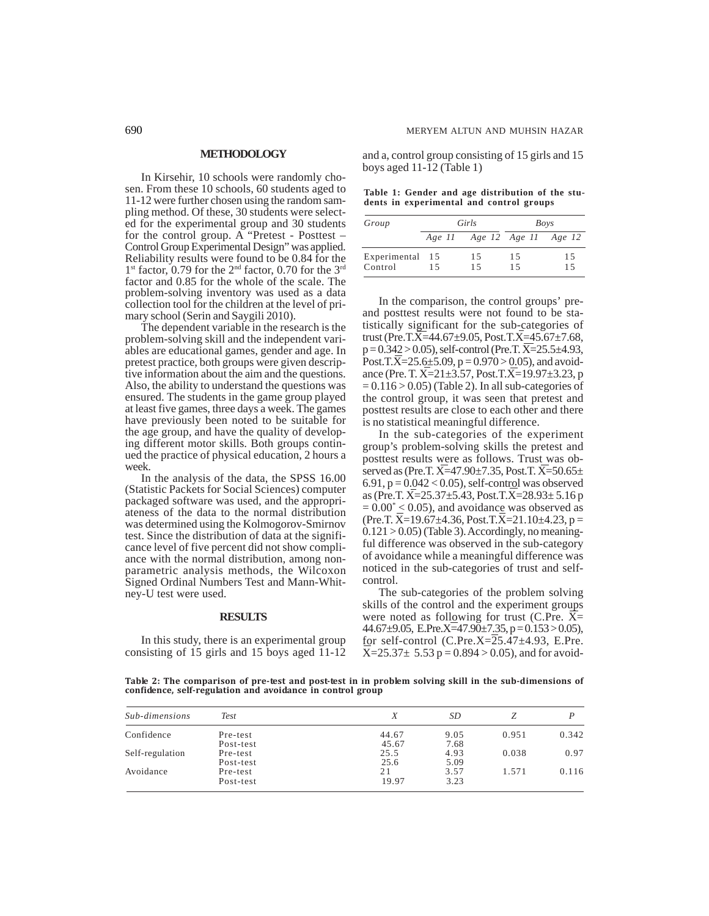#### **METHODOLOGY**

In Kirsehir, 10 schools were randomly chosen. From these 10 schools, 60 students aged to 11-12 were further chosen using the random sampling method. Of these, 30 students were selected for the experimental group and 30 students for the control group. A "Pretest - Posttest – Control Group Experimental Design" was applied. Reliability results were found to be 0.84 for the 1<sup>st</sup> factor, 0.79 for the 2<sup>nd</sup> factor, 0.70 for the 3<sup>rd</sup> factor and 0.85 for the whole of the scale. The problem-solving inventory was used as a data collection tool for the children at the level of primary school (Serin and Saygili 2010).

The dependent variable in the research is the problem-solving skill and the independent variables are educational games, gender and age. In pretest practice, both groups were given descriptive information about the aim and the questions. Also, the ability to understand the questions was ensured. The students in the game group played at least five games, three days a week. The games have previously been noted to be suitable for the age group, and have the quality of developing different motor skills. Both groups continued the practice of physical education, 2 hours a week.

In the analysis of the data, the SPSS 16.00 (Statistic Packets for Social Sciences) computer packaged software was used, and the appropriateness of the data to the normal distribution was determined using the Kolmogorov-Smirnov test. Since the distribution of data at the significance level of five percent did not show compliance with the normal distribution, among nonparametric analysis methods, the Wilcoxon Signed Ordinal Numbers Test and Mann-Whitney-U test were used.

#### **RESULTS**

In this study, there is an experimental group consisting of 15 girls and 15 boys aged 11-12

and a, control group consisting of 15 girls and 15 boys aged 11-12 (Table 1)

**Table 1: Gender and age distribution of the students in experimental and control groups**

| Group                      | Girls |                             | Boys     |          |  |
|----------------------------|-------|-----------------------------|----------|----------|--|
|                            |       | Age 11 Age 12 Age 11 Age 12 |          |          |  |
| Experimental 15<br>Control | 15    | 15<br>15                    | 15<br>15 | 15<br>15 |  |

In the comparison, the control groups' preand posttest results were not found to be statistically significant for the sub-categories of trust (Pre.T.X=44.67±9.05, Post.T.X=45.67±7.68,  $p = 0.342 > 0.05$ ), self-control (Pre.T.  $\overline{X} = 25.5 \pm 4.93$ , Post.T. $\overline{X}$ =25.6±5.09, p = 0.970 > 0.05), and avoidance (Pre. T. X=21±3.57, Post.T.X=19.97±3.23, p  $= 0.116 > 0.05$ ) (Table 2). In all sub-categories of the control group, it was seen that pretest and posttest results are close to each other and there is no statistical meaningful difference.

In the sub-categories of the experiment group's problem-solving skills the pretest and posttest results were as follows. Trust was observed as (Pre.T. X=47.90±7.35, Post.T. X=50.65± 6.91,  $p = 0.042 < 0.05$ ), self-control was observed as (Pre.T.  $X=25.37\pm5.43$ , Post.T. $X=28.93\pm5.16$  p  $= 0.00^{\circ}$  < 0.05), and avoidance was observed as  $(Pre.T. \overline{X} = 19.67 \pm 4.36, Post.T. \overline{X} = 21.10 \pm 4.23, p =$  $0.121 > 0.05$ ) (Table 3). Accordingly, no meaningful difference was observed in the sub-category of avoidance while a meaningful difference was noticed in the sub-categories of trust and selfcontrol.

The sub-categories of the problem solving skills of the control and the experiment groups were noted as following for trust (C.Pre.  $\overline{X}$ = 44.67 $\pm$ 9.05, E.Pre.X=47.90 $\pm$ 7.35, p = 0.153 > 0.05), for self-control  $(C.Pre.X=25.47\pm4.93, E.Pre.$  $X=25.37\pm 5.53$  p = 0.894 > 0.05), and for avoid-

**Table 2: The comparison of pre-test and post-test in in problem solving skill in the sub-dimensions of confidence, self-regulation and avoidance in control group**

| Sub-dimensions  | <b>Test</b> | Χ     | SD   |       |       |
|-----------------|-------------|-------|------|-------|-------|
| Confidence      | Pre-test    | 44.67 | 9.05 | 0.951 | 0.342 |
|                 | Post-test   | 45.67 | 7.68 |       |       |
| Self-regulation | Pre-test    | 25.5  | 4.93 | 0.038 | 0.97  |
|                 | Post-test   | 25.6  | 5.09 |       |       |
| Avoidance       | Pre-test    | 21    | 3.57 | 1.571 | 0.116 |
|                 | Post-test   | 19.97 | 3.23 |       |       |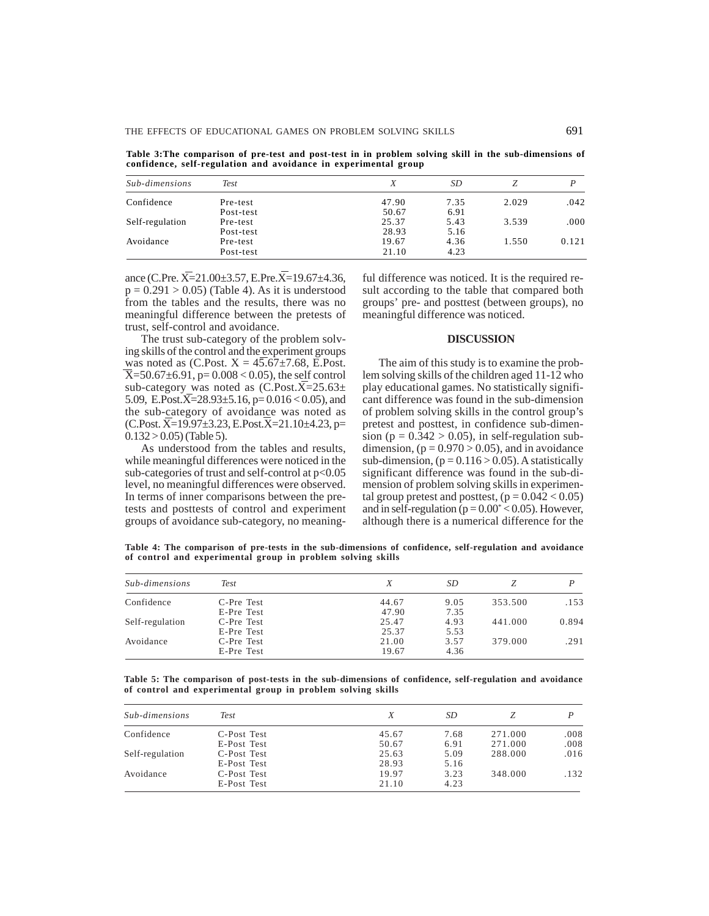**Table 3:The comparison of pre-test and post-test in in problem solving skill in the sub-dimensions of confidence, self-regulation and avoidance in experimental group**

| Sub-dimensions  | Test      | Χ     | SD   |       |       |
|-----------------|-----------|-------|------|-------|-------|
| Confidence      | Pre-test  | 47.90 | 7.35 | 2.029 | .042  |
|                 | Post-test | 50.67 | 6.91 |       |       |
| Self-regulation | Pre-test  | 25.37 | 5.43 | 3.539 | .000  |
|                 | Post-test | 28.93 | 5.16 |       |       |
| Avoidance       | Pre-test  | 19.67 | 4.36 | 1.550 | 0.121 |
|                 | Post-test | 21.10 | 4.23 |       |       |

ance (C.Pre.  $\overline{X}$ =21.00±3.57, E.Pre. $\overline{X}$ =19.67±4.36,  $p = 0.291 > 0.05$  (Table 4). As it is understood from the tables and the results, there was no meaningful difference between the pretests of trust, self-control and avoidance.

The trust sub-category of the problem solving skills of the control and the experiment groups was noted as  $(C. Post. X = 45.67 \pm 7.68, E. Post.$  $\overline{X}$ =50.67±6.91, p= 0.008 < 0.05), the self control sub-category was noted as  $(C.Post.X=25.63\pm$ 5.09, E.Post. $\overline{X}$ =28.93±5.16, p= 0.016 < 0.05), and the sub-category of avoidance was noted as  $(C.Post. X=19.97\pm3.23, E.Post. X=21.10\pm4.23, p=$  $0.132 > 0.05$ ) (Table 5).

As understood from the tables and results, while meaningful differences were noticed in the sub-categories of trust and self-control at  $p<0.05$ level, no meaningful differences were observed. In terms of inner comparisons between the pretests and posttests of control and experiment groups of avoidance sub-category, no meaningful difference was noticed. It is the required result according to the table that compared both groups' pre- and posttest (between groups), no meaningful difference was noticed.

#### **DISCUSSION**

The aim of this study is to examine the problem solving skills of the children aged 11-12 who play educational games. No statistically significant difference was found in the sub-dimension of problem solving skills in the control group's pretest and posttest, in confidence sub-dimension ( $p = 0.342 > 0.05$ ), in self-regulation subdimension,  $(p = 0.970 > 0.05)$ , and in avoidance sub-dimension,  $(p = 0.116 > 0.05)$ . A statistically significant difference was found in the sub-dimension of problem solving skills in experimental group pretest and posttest,  $(p = 0.042 < 0.05)$ and in self-regulation ( $p = 0.00^{\circ} < 0.05$ ). However, although there is a numerical difference for the

**Table 4: The comparison of pre-tests in the sub-dimensions of confidence, self-regulation and avoidance of control and experimental group in problem solving skills**

| Sub-dimensions  | Test       |       | SD   |         |       |
|-----------------|------------|-------|------|---------|-------|
| Confidence      | C-Pre Test | 44.67 | 9.05 | 353.500 | .153  |
|                 | E-Pre Test | 47.90 | 7.35 |         |       |
| Self-regulation | C-Pre Test | 25.47 | 4.93 | 441.000 | 0.894 |
|                 | E-Pre Test | 25.37 | 5.53 |         |       |
| Avoidance       | C-Pre Test | 21.00 | 3.57 | 379.000 | .291  |
|                 | E-Pre Test | 19.67 | 4.36 |         |       |

**Table 5: The comparison of post-tests in the sub-dimensions of confidence, self-regulation and avoidance of control and experimental group in problem solving skills**

| Sub-dimensions  | <b>Test</b> |       | SD   |         |      |
|-----------------|-------------|-------|------|---------|------|
| Confidence      | C-Post Test | 45.67 | 7.68 | 271.000 | .008 |
|                 | E-Post Test | 50.67 | 6.91 | 271.000 | .008 |
| Self-regulation | C-Post Test | 25.63 | 5.09 | 288.000 | .016 |
|                 | E-Post Test | 28.93 | 5.16 |         |      |
| Avoidance       | C-Post Test | 19.97 | 3.23 | 348.000 | .132 |
|                 | E-Post Test | 21.10 | 4.23 |         |      |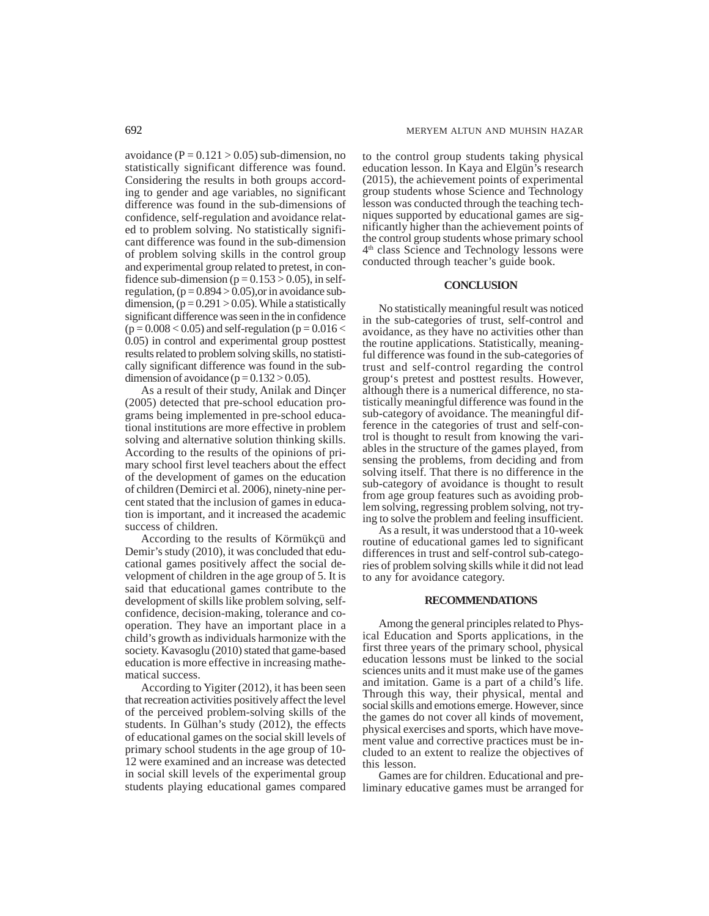avoidance ( $P = 0.121 > 0.05$ ) sub-dimension, no statistically significant difference was found. Considering the results in both groups according to gender and age variables, no significant difference was found in the sub-dimensions of confidence, self-regulation and avoidance related to problem solving. No statistically significant difference was found in the sub-dimension of problem solving skills in the control group and experimental group related to pretest, in confidence sub-dimension ( $p = 0.153 > 0.05$ ), in selfregulation,  $(p = 0.894 > 0.05)$ , or in avoidance subdimension,  $(p = 0.291 > 0.05)$ . While a statistically significant difference was seen in the in confidence  $(p = 0.008 < 0.05)$  and self-regulation  $(p = 0.016 <$ 0.05) in control and experimental group posttest results related to problem solving skills, no statistically significant difference was found in the subdimension of avoidance  $(p = 0.132 > 0.05)$ .

As a result of their study, Anilak and Dinçer (2005) detected that pre-school education programs being implemented in pre-school educational institutions are more effective in problem solving and alternative solution thinking skills. According to the results of the opinions of primary school first level teachers about the effect of the development of games on the education of children (Demirci et al. 2006), ninety-nine percent stated that the inclusion of games in education is important, and it increased the academic success of children.

According to the results of Körmükçü and Demir's study (2010), it was concluded that educational games positively affect the social development of children in the age group of 5. It is said that educational games contribute to the development of skills like problem solving, selfconfidence, decision-making, tolerance and cooperation. They have an important place in a child's growth as individuals harmonize with the society. Kavasoglu (2010) stated that game-based education is more effective in increasing mathematical success.

According to Yigiter (2012), it has been seen that recreation activities positively affect the level of the perceived problem-solving skills of the students. In Gülhan's study (2012), the effects of educational games on the social skill levels of primary school students in the age group of 10- 12 were examined and an increase was detected in social skill levels of the experimental group students playing educational games compared to the control group students taking physical education lesson. In Kaya and Elgün's research (2015), the achievement points of experimental group students whose Science and Technology lesson was conducted through the teaching techniques supported by educational games are significantly higher than the achievement points of the control group students whose primary school 4th class Science and Technology lessons were conducted through teacher's guide book.

## **CONCLUSION**

No statistically meaningful result was noticed in the sub-categories of trust, self-control and avoidance, as they have no activities other than the routine applications. Statistically, meaningful difference was found in the sub-categories of trust and self-control regarding the control group's pretest and posttest results. However, although there is a numerical difference, no statistically meaningful difference was found in the sub-category of avoidance. The meaningful difference in the categories of trust and self-control is thought to result from knowing the variables in the structure of the games played, from sensing the problems, from deciding and from solving itself. That there is no difference in the sub-category of avoidance is thought to result from age group features such as avoiding problem solving, regressing problem solving, not trying to solve the problem and feeling insufficient.

As a result, it was understood that a 10-week routine of educational games led to significant differences in trust and self-control sub-categories of problem solving skills while it did not lead to any for avoidance category.

#### **RECOMMENDATIONS**

Among the general principles related to Physical Education and Sports applications, in the first three years of the primary school, physical education lessons must be linked to the social sciences units and it must make use of the games and imitation. Game is a part of a child's life. Through this way, their physical, mental and social skills and emotions emerge. However, since the games do not cover all kinds of movement, physical exercises and sports, which have movement value and corrective practices must be included to an extent to realize the objectives of this lesson.

Games are for children. Educational and preliminary educative games must be arranged for